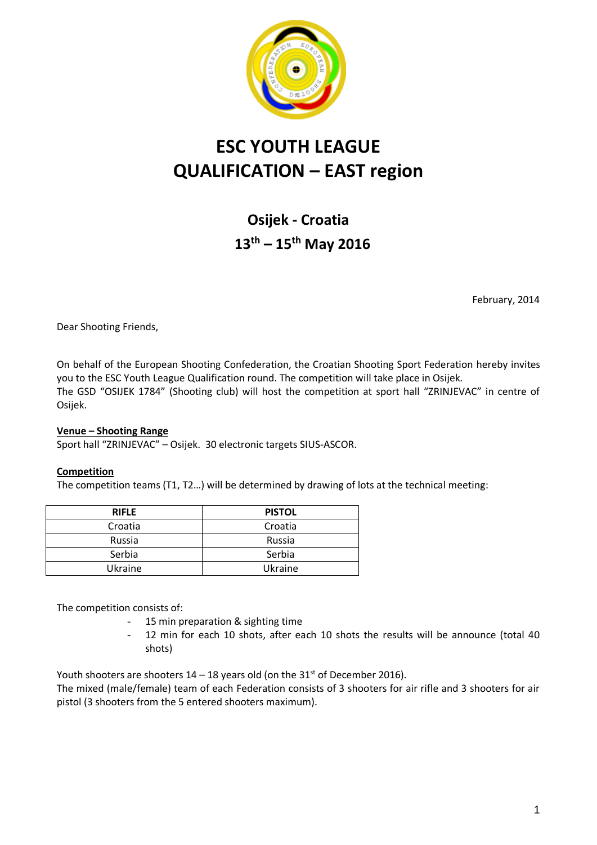

# **ESC YOUTH LEAGUE QUALIFICATION – EAST region**

**Osijek - Croatia 13th – 15th May 2016**

February, 2014

Dear Shooting Friends,

On behalf of the European Shooting Confederation, the Croatian Shooting Sport Federation hereby invites you to the ESC Youth League Qualification round. The competition will take place in Osijek. The GSD "OSIJEK 1784" (Shooting club) will host the competition at sport hall "ZRINJEVAC" in centre of Osijek.

## **Venue – Shooting Range**

Sport hall "ZRINJEVAC" – Osijek. 30 electronic targets SIUS-ASCOR.

## **Competition**

The competition teams (T1, T2…) will be determined by drawing of lots at the technical meeting:

| <b>RIFLE</b> | <b>PISTOL</b> |
|--------------|---------------|
| Croatia      | Croatia       |
| Russia       | Russia        |
| Serbia       | Serbia        |
| Ukraine      | Ukraine       |

The competition consists of:

- 15 min preparation & sighting time
- 12 min for each 10 shots, after each 10 shots the results will be announce (total 40 shots)

Youth shooters are shooters  $14 - 18$  years old (on the  $31<sup>st</sup>$  of December 2016).

The mixed (male/female) team of each Federation consists of 3 shooters for air rifle and 3 shooters for air pistol (3 shooters from the 5 entered shooters maximum).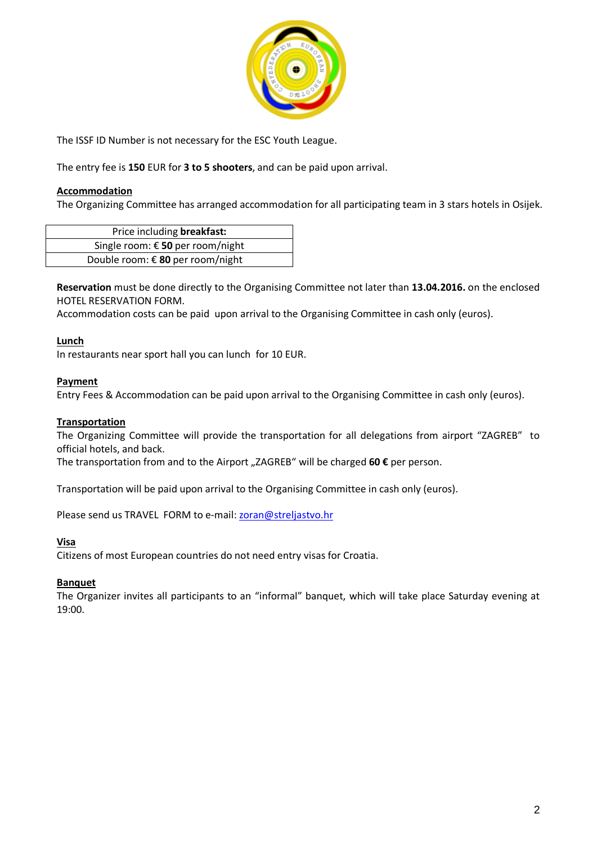

The ISSF ID Number is not necessary for the ESC Youth League.

The entry fee is **150** EUR for **3 to 5 shooters**, and can be paid upon arrival.

## **Accommodation**

The Organizing Committee has arranged accommodation for all participating team in 3 stars hotels in Osijek.

| Price including breakfast:       |  |
|----------------------------------|--|
| Single room: € 50 per room/night |  |
| Double room: € 80 per room/night |  |

**Reservation** must be done directly to the Organising Committee not later than **13.04.2016.** on the enclosed HOTEL RESERVATION FORM.

Accommodation costs can be paid upon arrival to the Organising Committee in cash only (euros).

## **Lunch**

In restaurants near sport hall you can lunch for 10 EUR.

#### **Payment**

Entry Fees & Accommodation can be paid upon arrival to the Organising Committee in cash only (euros).

#### **Transportation**

The Organizing Committee will provide the transportation for all delegations from airport "ZAGREB" to official hotels, and back.

The transportation from and to the Airport "ZAGREB" will be charged 60 € per person.

Transportation will be paid upon arrival to the Organising Committee in cash only (euros).

Please send us TRAVEL FORM to e-mail: [zoran@streljastvo.hr](mailto:zoran@streljastvo.hr)

#### **Visa**

Citizens of most European countries do not need entry visas for Croatia.

## **Banquet**

The Organizer invites all participants to an "informal" banquet, which will take place Saturday evening at 19:00.